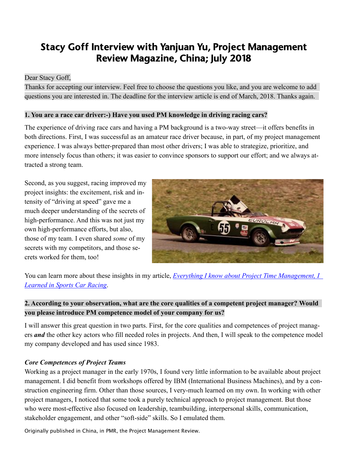# Stacy Goff Interview with Yanjuan Yu, Project Management Review Magazine, China; July 2018

#### Dear Stacy Goff,

Thanks for accepting our interview. Feel free to choose the questions you like, and you are welcome to add questions you are interested in. The deadline for the interview article is end of March, 2018. Thanks again.

#### **1. You are a race car driver:-) Have you used PM knowledge in driving racing cars?**

The experience of driving race cars and having a PM background is a two-way street—it offers benefits in both directions. First, I was successful as an amateur race driver because, in part, of my project management experience. I was always better-prepared than most other drivers; I was able to strategize, prioritize, and more intensely focus than others; it was easier to convince sponsors to support our effort; and we always attracted a strong team.

Second, as you suggest, racing improved my project insights: the excitement, risk and intensity of "driving at speed" gave me a much deeper understanding of the secrets of high-performance. And this was not just my own high-performance efforts, but also, those of my team. I even shared *some* of my secrets with my competitors, and those secrets worked for them, too!



You can learn more about these insights in my article, *[Everything I know about Project Time Management, I](https://stacygoff.com/assets/EverythingIKnow.pdf)  [Learned in Sports Car Racing](https://stacygoff.com/assets/EverythingIKnow.pdf)*.

# **2. According to your observation, what are the core qualities of a competent project manager? Would you please introduce PM competence model of your company for us?**

I will answer this great question in two parts. First, for the core qualities and competences of project managers *and* the other key actors who fill needed roles in projects. And then, I will speak to the competence model my company developed and has used since 1983.

#### *Core Competences of Project Teams*

Working as a project manager in the early 1970s, I found very little information to be available about project management. I did benefit from workshops offered by IBM (International Business Machines), and by a construction engineering firm. Other than those sources, I very-much learned on my own. In working with other project managers, I noticed that some took a purely technical approach to project management. But those who were most-effective also focused on leadership, teambuilding, interpersonal skills, communication, stakeholder engagement, and other "soft-side" skills. So I emulated them.

Originally published in China, in PMR, the Project Management Review.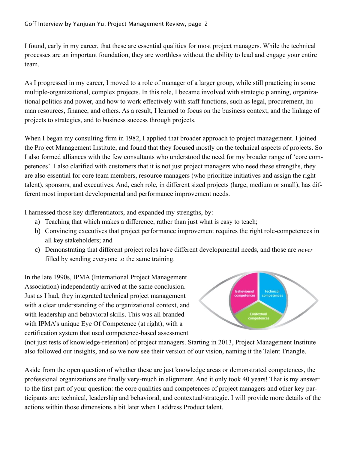I found, early in my career, that these are essential qualities for most project managers. While the technical processes are an important foundation, they are worthless without the ability to lead and engage your entire team.

As I progressed in my career, I moved to a role of manager of a larger group, while still practicing in some multiple-organizational, complex projects. In this role, I became involved with strategic planning, organizational politics and power, and how to work effectively with staff functions, such as legal, procurement, human resources, finance, and others. As a result, I learned to focus on the business context, and the linkage of projects to strategies, and to business success through projects.

When I began my consulting firm in 1982, I applied that broader approach to project management. I joined the Project Management Institute, and found that they focused mostly on the technical aspects of projects. So I also formed alliances with the few consultants who understood the need for my broader range of 'core competences'. I also clarified with customers that it is not just project managers who need these strengths, they are also essential for core team members, resource managers (who prioritize initiatives and assign the right talent), sponsors, and executives. And, each role, in different sized projects (large, medium or small), has different most important developmental and performance improvement needs.

I harnessed those key differentiators, and expanded my strengths, by:

- a) Teaching that which makes a difference, rather than just what is easy to teach;
- b) Convincing executives that project performance improvement requires the right role-competences in all key stakeholders; and
- c) Demonstrating that different project roles have different developmental needs, and those are *never* filled by sending everyone to the same training.

In the late 1990s, IPMA (International Project Management Association) independently arrived at the same conclusion. Just as I had, they integrated technical project management with a clear understanding of the organizational context, and with leadership and behavioral skills. This was all branded with IPMA's unique Eye Of Competence (at right), with a certification system that used competence-based assessment



(not just tests of knowledge-retention) of project managers. Starting in 2013, Project Management Institute also followed our insights, and so we now see their version of our vision, naming it the Talent Triangle.

Aside from the open question of whether these are just knowledge areas or demonstrated competences, the professional organizations are finally very-much in alignment. And it only took 40 years! That is my answer to the first part of your question: the core qualities and competences of project managers and other key participants are: technical, leadership and behavioral, and contextual/strategic. I will provide more details of the actions within those dimensions a bit later when I address Product talent.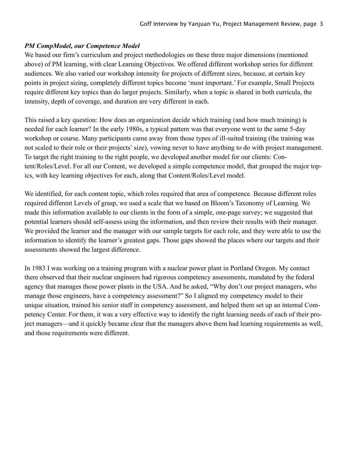#### *PM CompModel, our Competence Model*

We based our firm's curriculum and project methodologies on these three major dimensions (mentioned above) of PM learning, with clear Learning Objectives. We offered different workshop series for different audiences. We also varied our workshop intensity for projects of different sizes, because, at certain key points in project sizing, completely different topics become 'most important.' For example, Small Projects require different key topics than do larger projects. Similarly, when a topic is shared in both curricula, the intensity, depth of coverage, and duration are very different in each.

This raised a key question: How does an organization decide which training (and how much training) is needed for each learner? In the early 1980s, a typical pattern was that everyone went to the same 5-day workshop or course. Many participants came away from those types of ill-suited training (the training was not scaled to their role or their projects' size), vowing never to have anything to do with project management. To target the right training to the right people, we developed another model for our clients: Content/Roles/Level. For all our Content, we developed a simple competence model, that grouped the major topics, with key learning objectives for each, along that Content/Roles/Level model.

We identified, for each content topic, which roles required that area of competence. Because different roles required different Levels of grasp, we used a scale that we based on Bloom's Taxonomy of Learning. We made this information available to our clients in the form of a simple, one-page survey; we suggested that potential learners should self-assess using the information, and then review their results with their manager. We provided the learner and the manager with our sample targets for each role, and they were able to use the information to identify the learner's greatest gaps. Those gaps showed the places where our targets and their assessments showed the largest difference.

In 1983 I was working on a training program with a nuclear power plant in Portland Oregon. My contact there observed that their nuclear engineers had rigorous competency assessments, mandated by the federal agency that manages those power plants in the USA. And he asked, "Why don't our project managers, who manage those engineers, have a competency assessment?" So I aligned my competency model to their unique situation, trained his senior staff in competency assessment, and helped them set up an internal Competency Center. For them, it was a very effective way to identify the right learning needs of each of their project managers—and it quickly became clear that the managers above them had learning requirements as well, and those requirements were different.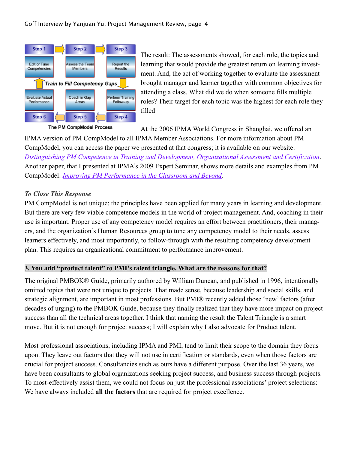

The PM CompModel Process

The result: The assessments showed, for each role, the topics and learning that would provide the greatest return on learning investment. And, the act of working together to evaluate the assessment brought manager and learner together with common objectives for attending a class. What did we do when someone fills multiple roles? Their target for each topic was the highest for each role they filled

At the 2006 IPMA World Congress in Shanghai, we offered an

IPMA version of PM CompModel to all IPMA Member Associations. For more information about PM CompModel, you can access the paper we presented at that congress; it is available on our website: *Distinguishing PM Competence in Training and Development, [Organizational](https://stacy.goff.com/assets/DistinguishingPMCompetence.pdf) Assessment and Certification*. Another paper, that I presented at IPMA's 2009 Expert Seminar, shows more details and examples from PM CompModel: *Improving PM [Performance](https://stacygoff.com/assets/ExpertSeminar-ImprovingPM_Performance.pdf) in the Classroom and Beyond*.

#### *To Close This Response*

PM CompModel is not unique; the principles have been applied for many years in learning and development. But there are very few viable competence models in the world of project management. And, coaching in their use is important. Proper use of any competency model requires an effort between practitioners, their managers, and the organization's Human Resources group to tune any competency model to their needs, assess learners effectively, and most importantly, to follow-through with the resulting competency development plan. This requires an organizational commitment to performance improvement.

#### **3. You add "product talent" to PMI's talent triangle. What are the reasons for that?**

The original PMBOK® Guide, primarily authored by William Duncan, and published in 1996, intentionally omitted topics that were not unique to projects. That made sense, because leadership and social skills, and strategic alignment, are important in most professions. But PMI® recently added those 'new' factors (after decades of urging) to the PMBOK Guide, because they finally realized that they have more impact on project success than all the technical areas together. I think that naming the result the Talent Triangle is a smart move. But it is not enough for project success; I will explain why I also advocate for Product talent.

Most professional associations, including IPMA and PMI, tend to limit their scope to the domain they focus upon. They leave out factors that they will not use in certification or standards, even when those factors are crucial for project success. Consultancies such as ours have a different purpose. Over the last 36 years, we have been consultants to global organizations seeking project success, and business success through projects. To most-effectively assist them, we could not focus on just the professional associations' project selections: We have always included **all the factors** that are required for project excellence.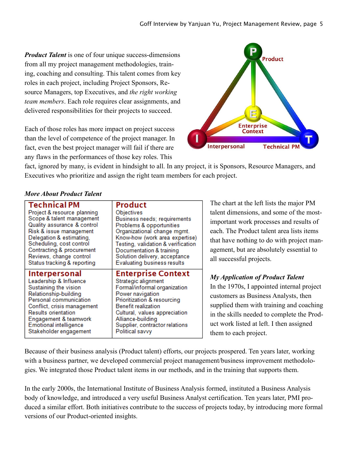*Product Talent* is one of four unique success-dimensions from all my project management methodologies, training, coaching and consulting. This talent comes from key roles in each project, including Project Sponsors, Resource Managers, top Executives, and *the right working team members*. Each role requires clear assignments, and delivered responsibilities for their projects to succeed.

Each of those roles has more impact on project success than the level of competence of the project manager. In fact, even the best project manager will fail if there are any flaws in the performances of those key roles. This



fact, ignored by many, is evident in hindsight to all. In any project, it is Sponsors, Resource Managers, and Executives who prioritize and assign the right team members for each project.

#### Technical PM Product Project & resource planning Objectives Scope & talent management Business needs; requirements Quality assurance & control Problems & opportunities Risk & issue management Organizational change mgmt. Delegation & estimating, Know-how (work area expertise) Scheduling, cost control Testing, validation & verification Contracting & procurement Documentation & training Reviews, change control Solution delivery, acceptance Status tracking & reporting **Evaluating business results Interpersonal Enterprise Context** Leadership & Influence Strategic alignment Sustaining the vision Formal/informal organization Relationship-building Power navigation Prioritization & resourcing Personal communication **Benefit realization** Conflict, crisis management **Results orientation** Cultural, values appreciation Alliance-building Engagement & teamwork Supplier, contractor relations **Emotional intelligence** Stakeholder engagement Political savvy

### *More About Product Talent*

The chart at the left lists the major PM talent dimensions, and some of the mostimportant work processes and results of each. The Product talent area lists items that have nothing to do with project management, but are absolutely essential to all successful projects.

# *My Application of Product Talent*

In the 1970s, I appointed internal project customers as Business Analysts, then supplied them with training and coaching in the skills needed to complete the Product work listed at left. I then assigned them to each project.

Because of their business analysis (Product talent) efforts, our projects prospered. Ten years later, working with a business partner, we developed commercial project management/business improvement methodologies. We integrated those Product talent items in our methods, and in the training that supports them.

In the early 2000s, the International Institute of Business Analysis formed, instituted a Business Analysis body of knowledge, and introduced a very useful Business Analyst certification. Ten years later, PMI produced a similar effort. Both initiatives contribute to the success of projects today, by introducing more formal versions of our Product-oriented insights.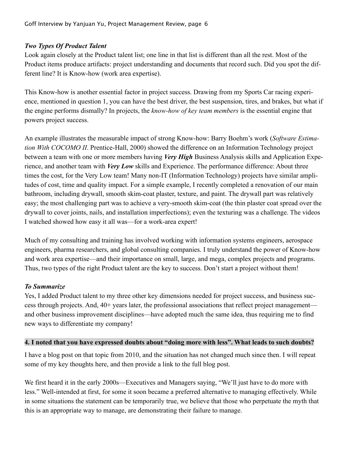#### *Two Types Of Product Talent*

Look again closely at the Product talent list; one line in that list is different than all the rest. Most of the Product items produce artifacts: project understanding and documents that record such. Did you spot the different line? It is Know-how (work area expertise).

This Know-how is another essential factor in project success. Drawing from my Sports Car racing experience, mentioned in question 1, you can have the best driver, the best suspension, tires, and brakes, but what if the engine performs dismally? In projects, the *know-how of key team members* is the essential engine that powers project success.

An example illustrates the measurable impact of strong Know-how: Barry Boehm's work (*Software Estimation With COCOMO II*. Prentice-Hall, 2000) showed the difference on an Information Technology project between a team with one or more members having *Very High* Business Analysis skills and Application Experience, and another team with *Very Low* skills and Experience. The performance difference: About three times the cost, for the Very Low team! Many non-IT (Information Technology) projects have similar amplitudes of cost, time and quality impact. For a simple example, I recently completed a renovation of our main bathroom, including drywall, smooth skim-coat plaster, texture, and paint. The drywall part was relatively easy; the most challenging part was to achieve a very-smooth skim-coat (the thin plaster coat spread over the drywall to cover joints, nails, and installation imperfections); even the texturing was a challenge. The videos I watched showed how easy it all was—for a work-area expert!

Much of my consulting and training has involved working with information systems engineers, aerospace engineers, pharma researchers, and global consulting companies. I truly understand the power of Know-how and work area expertise—and their importance on small, large, and mega, complex projects and programs. Thus, two types of the right Product talent are the key to success. Don't start a project without them!

#### *To Summarize*

Yes, I added Product talent to my three other key dimensions needed for project success, and business success through projects. And, 40+ years later, the professional associations that reflect project management and other business improvement disciplines—have adopted much the same idea, thus requiring me to find new ways to differentiate my company!

#### **4. I noted that you have expressed doubts about "doing more with less". What leads to such doubts?**

I have a blog post on that topic from 2010, and the situation has not changed much since then. I will repeat some of my key thoughts here, and then provide a link to the full blog post.

We first heard it in the early 2000s—Executives and Managers saying, "We'll just have to do more with less." Well-intended at first, for some it soon became a preferred alternative to managing effectively. While in some situations the statement can be temporarily true, we believe that those who perpetuate the myth that this is an appropriate way to manage, are demonstrating their failure to manage.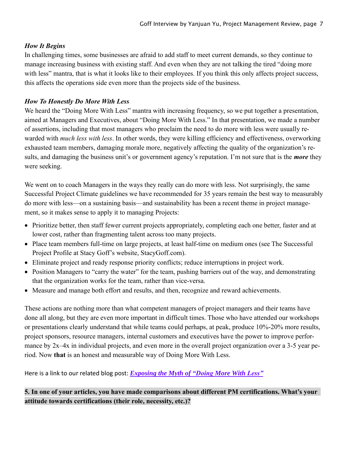### *How It Begins*

In challenging times, some businesses are afraid to add staff to meet current demands, so they continue to manage increasing business with existing staff. And even when they are not talking the tired "doing more with less" mantra, that is what it looks like to their employees. If you think this only affects project success, this affects the operations side even more than the projects side of the business.

# *How To Honestly Do More With Less*

We heard the "Doing More With Less" mantra with increasing frequency, so we put together a presentation, aimed at Managers and Executives, about "Doing More With Less." In that presentation, we made a number of assertions, including that most managers who proclaim the need to do more with less were usually rewarded with *much less with less*. In other words, they were killing efficiency and effectiveness, overworking exhausted team members, damaging morale more, negatively affecting the quality of the organization's results, and damaging the business unit's or government agency's reputation. I'm not sure that is the *more* they were seeking.

We went on to coach Managers in the ways they really can do more with less. Not surprisingly, the same Successful Project Climate guidelines we have recommended for 35 years remain the best way to measurably do more with less—on a sustaining basis—and sustainability has been a recent theme in project management, so it makes sense to apply it to managing Projects:

- Prioritize better, then staff fewer current projects appropriately, completing each one better, faster and at lower cost, rather than fragmenting talent across too many projects.
- Place team members full-time on large projects, at least half-time on medium ones (see The Successful Project Profile at Stacy Goff's website, StacyGoff.com).
- Eliminate project and ready response priority conflicts; reduce interruptions in project work.
- Position Managers to "carry the water" for the team, pushing barriers out of the way, and demonstrating that the organization works for the team, rather than vice-versa.
- Measure and manage both effort and results, and then, recognize and reward achievements.

These actions are nothing more than what competent managers of project managers and their teams have done all along, but they are even more important in difficult times. Those who have attended our workshops or presentations clearly understand that while teams could perhaps, at peak, produce 10%-20% more results, project sponsors, resource managers, internal customers and executives have the power to improve performance by 2x–4x in individual projects, and even more in the overall project organization over a 3-5 year period. Now **that** is an honest and measurable way of Doing More With Less.

Here is a link to our related blog post: *[Exposing](https://stacygoff.com/exposing-the-myth-of-doing-more-with-less/) the Myth of "Doing More With Less"*

**5. In one of your articles, you have made comparisons about different PM certifications. What's your attitude towards certifications (their role, necessity, etc.)?**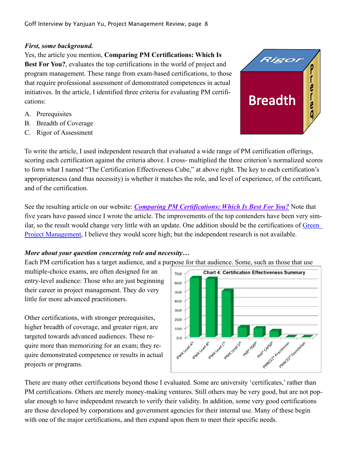#### *First, some background.*

Yes, the article you mention, **Comparing PM Certifications: Which Is Best For You?**, evaluates the top certifications in the world of project and program management. These range from exam-based certifications, to those that require professional assessment of demonstrated competences in actual initiatives. In the article, I identified three criteria for evaluating PM certifications:

- A. Prerequisites
- B. Breadth of Coverage
- C. Rigor of Assessment



To write the article, I used independent research that evaluated a wide range of PM certification offerings, scoring each certification against the criteria above. I cross- multiplied the three criterion's normalized scores to form what I named "The Certification Effectiveness Cube," at above right. The key to each certification's appropriateness (and thus necessity) is whether it matches the role, and level of experience, of the certificant, and of the certification.

See the resulting article on our website: *Comparing PM [Certifications:](https://stacygoff.com/assets/Comparing_PM_Certifications.pdf) Which Is Best For You?* Note that five years have passed since I wrote the article. The improvements of the top contenders have been very similar, so the result would change very little with an update. One addition should be the certifications of [Green](https://greenprojectmanagement.org/)  [Project Management,](https://greenprojectmanagement.org/) I believe they would score high; but the independent research is not available.

### *More about your question concerning role and necessity…*

Each PM certification has a target audience, and a purpose for that audience. Some, such as those that use

multiple-choice exams, are often designed for an entry-level audience: Those who are just beginning their career in project management. They do very little for more advanced practitioners.

Other certifications, with stronger prerequisites, higher breadth of coverage, and greater rigor, are targeted towards advanced audiences. These require more than memorizing for an exam; they require demonstrated competence or results in actual projects or programs.



There are many other certifications beyond those I evaluated. Some are university 'certificates,' rather than PM certifications. Others are merely money-making ventures. Still others may be very good, but are not popular enough to have independent research to verify their validity. In addition, some very good certifications are those developed by corporations and government agencies for their internal use. Many of these begin with one of the major certifications, and then expand upon them to meet their specific needs.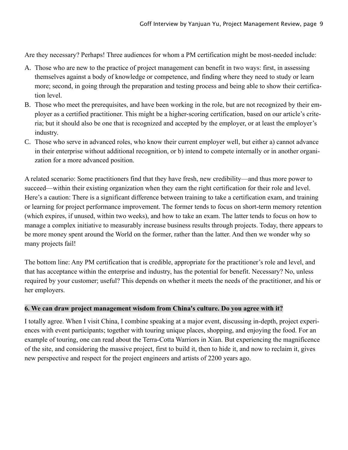Are they necessary? Perhaps! Three audiences for whom a PM certification might be most-needed include:

- A. Those who are new to the practice of project management can benefit in two ways: first, in assessing themselves against a body of knowledge or competence, and finding where they need to study or learn more; second, in going through the preparation and testing process and being able to show their certification level.
- B. Those who meet the prerequisites, and have been working in the role, but are not recognized by their employer as a certified practitioner. This might be a higher-scoring certification, based on our article's criteria; but it should also be one that is recognized and accepted by the employer, or at least the employer's industry.
- C. Those who serve in advanced roles, who know their current employer well, but either a) cannot advance in their enterprise without additional recognition, or b) intend to compete internally or in another organization for a more advanced position.

A related scenario: Some practitioners find that they have fresh, new credibility—and thus more power to succeed—within their existing organization when they earn the right certification for their role and level. Here's a caution: There is a significant difference between training to take a certification exam, and training or learning for project performance improvement. The former tends to focus on short-term memory retention (which expires, if unused, within two weeks), and how to take an exam. The latter tends to focus on how to manage a complex initiative to measurably increase business results through projects. Today, there appears to be more money spent around the World on the former, rather than the latter. And then we wonder why so many projects fail!

The bottom line: Any PM certification that is credible, appropriate for the practitioner's role and level, and that has acceptance within the enterprise and industry, has the potential for benefit. Necessary? No, unless required by your customer; useful? This depends on whether it meets the needs of the practitioner, and his or her employers.

#### **6. We can draw project management wisdom from China's culture. Do you agree with it?**

I totally agree. When I visit China, I combine speaking at a major event, discussing in-depth, project experiences with event participants; together with touring unique places, shopping, and enjoying the food. For an example of touring, one can read about the Terra-Cotta Warriors in Xian. But experiencing the magnificence of the site, and considering the massive project, first to build it, then to hide it, and now to reclaim it, gives new perspective and respect for the project engineers and artists of 2200 years ago.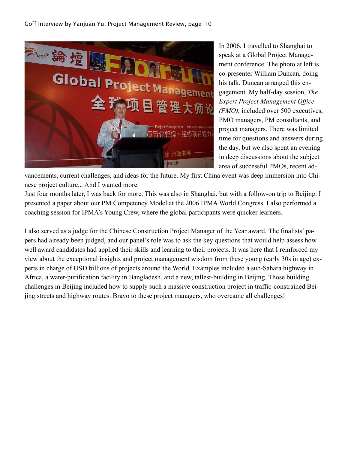

In 2006, I travelled to Shanghai to speak at a Global Project Management conference. The photo at left is co-presenter William Duncan, doing his talk. Duncan arranged this engagement. My half-day session, *The Expert Project Management Office (PMO),* included over 500 executives, PMO managers, PM consultants, and project managers. There was limited time for questions and answers during the day, but we also spent an evening in deep discussions about the subject area of successful PMOs, recent ad-

vancements, current challenges, and ideas for the future. My first China event was deep immersion into Chinese project culture... And I wanted more.

Just four months later, I was back for more. This was also in Shanghai, but with a follow-on trip to Beijing. I presented a paper about our PM Competency Model at the 2006 IPMA World Congress. I also performed a coaching session for IPMA's Young Crew, where the global participants were quicker learners.

I also served as a judge for the Chinese Construction Project Manager of the Year award. The finalists' papers had already been judged, and our panel's role was to ask the key questions that would help assess how well award candidates had applied their skills and learning to their projects. It was here that I reinforced my view about the exceptional insights and project management wisdom from these young (early 30s in age) experts in charge of USD billions of projects around the World. Examples included a sub-Sahara highway in Africa, a water-purification facility in Bangladesh, and a new, tallest-building in Beijing. Those building challenges in Beijing included how to supply such a massive construction project in traffic-constrained Beijing streets and highway routes. Bravo to these project managers, who overcame all challenges!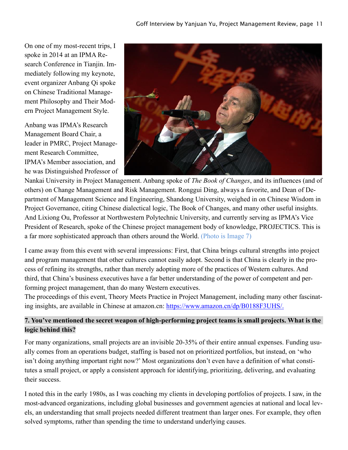On one of my most-recent trips, I spoke in 2014 at an IPMA Research Conference in Tianjin. Immediately following my keynote, event organizer Anbang Qi spoke on Chinese Traditional Management Philosophy and Their Modern Project Management Style.

Anbang was IPMA's Research Management Board Chair, a leader in PMRC, Project Management Research Committee, IPMA's Member association, and he was Distinguished Professor of



Nankai University in Project Management. Anbang spoke of *The Book of Changes*, and its influences (and of others) on Change Management and Risk Management. Ronggui Ding, always a favorite, and Dean of Department of Management Science and Engineering, Shandong University, weighed in on Chinese Wisdom in Project Governance, citing Chinese dialectical logic, The Book of Changes, and many other useful insights. And Lixiong Ou, Professor at Northwestern Polytechnic University, and currently serving as IPMA's Vice President of Research, spoke of the Chinese project management body of knowledge, PROJECTICS. This is a far more sophisticated approach than others around the World. (Photo is Image 7)

I came away from this event with several impressions: First, that China brings cultural strengths into project and program management that other cultures cannot easily adopt. Second is that China is clearly in the process of refining its strengths, rather than merely adopting more of the practices of Western cultures. And third, that China's business executives have a far better understanding of the power of competent and performing project management, than do many Western executives.

The proceedings of this event, Theory Meets Practice in Project Management, including many other fascinating insights, are available in Chinese at amazon.cn: [https://www.amazon.cn/dp/B0188F3UHS/.](https://www.amazon.cn/dp/B0188F3UHS/)

# **7. You've mentioned the secret weapon of high-performing project teams is small projects. What is the logic behind this?**

For many organizations, small projects are an invisible 20-35% of their entire annual expenses. Funding usually comes from an operations budget, staffing is based not on prioritized portfolios, but instead, on 'who isn't doing anything important right now?' Most organizations don't even have a definition of what constitutes a small project, or apply a consistent approach for identifying, prioritizing, delivering, and evaluating their success.

I noted this in the early 1980s, as I was coaching my clients in developing portfolios of projects. I saw, in the most-advanced organizations, including global businesses and government agencies at national and local levels, an understanding that small projects needed different treatment than larger ones. For example, they often solved symptoms, rather than spending the time to understand underlying causes.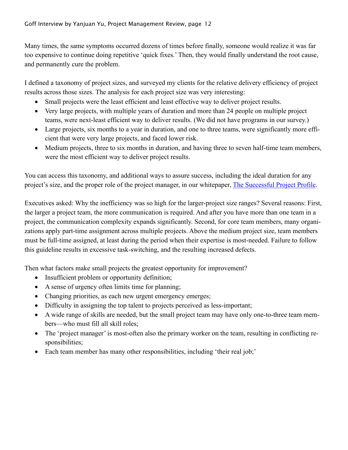Many times, the same symptoms occurred dozens of times before finally, someone would realize it was far too expensive to continue doing repetitive 'quick fixes.' Then, they would finally understand the root cause, and permanently cure the problem.

I defined a taxonomy of project sizes, and surveyed my clients for the relative delivery efficiency of project results across those sizes. The analysis for each project size was very interesting:

- Small projects were the least efficient and least effective way to deliver project results.
- Very large projects, with multiple years of duration and more than 24 people on multiple project teams, were next-least efficient way to deliver results. (We did not have programs in our survey.)
- Large projects, six months to a year in duration, and one to three teams, were significantly more efficient that were very large projects, and faced lower risk.
- Medium projects, three to six months in duration, and having three to seven half-time team members, were the most efficient way to deliver project results.

You can access this taxonomy, and additional ways to assure success, including the ideal duration for any project's size, and the proper role of the project manager, in our whitepaper, [The Successful Project Profile.](https://stacygoff.com/assets/SuccessProfile.pdf)

Executives asked: Why the inefficiency was so high for the larger-project size ranges? Several reasons: First, the larger a project team, the more communication is required. And after you have more than one team in a project, the communication complexity expands significantly. Second, for core team members, many organizations apply part-time assignment across multiple projects. Above the medium project size, team members must be full-time assigned, at least during the period when their expertise is most-needed. Failure to follow this guideline results in excessive task-switching, and the resulting increased defects.

Then what factors make small projects the greatest opportunity for improvement?

- Insufficient problem or opportunity definition;
- A sense of urgency often limits time for planning;
- Changing priorities, as each new urgent emergency emerges;
- Difficulty in assigning the top talent to projects perceived as less-important;
- A wide range of skills are needed, but the small project team may have only one-to-three team members—who must fill all skill roles;
- The 'project manager' is most-often also the primary worker on the team, resulting in conflicting responsibilities;
- Each team member has many other responsibilities, including 'their real job;'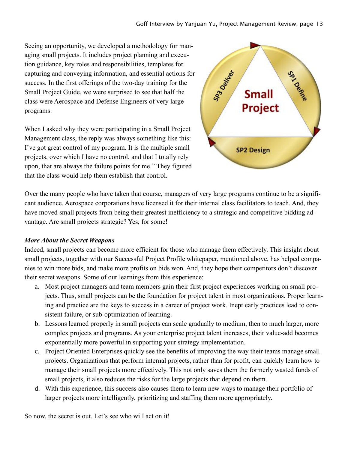Seeing an opportunity, we developed a methodology for managing small projects. It includes project planning and execution guidance, key roles and responsibilities, templates for capturing and conveying information, and essential actions for success. In the first offerings of the two-day training for the Small Project Guide, we were surprised to see that half the class were Aerospace and Defense Engineers of very large programs.

When I asked why they were participating in a Small Project Management class, the reply was always something like this: I've got great control of my program. It is the multiple small projects, over which I have no control, and that I totally rely upon, that are always the failure points for me." They figured that the class would help them establish that control.



Over the many people who have taken that course, managers of very large programs continue to be a significant audience. Aerospace corporations have licensed it for their internal class facilitators to teach. And, they have moved small projects from being their greatest inefficiency to a strategic and competitive bidding advantage. Are small projects strategic? Yes, for some!

# *More About the Secret Weapons*

Indeed, small projects can become more efficient for those who manage them effectively. This insight about small projects, together with our Successful Project Profile whitepaper, mentioned above, has helped companies to win more bids, and make more profits on bids won. And, they hope their competitors don't discover their secret weapons. Some of our learnings from this experience:

- a. Most project managers and team members gain their first project experiences working on small projects. Thus, small projects can be the foundation for project talent in most organizations. Proper learning and practice are the keys to success in a career of project work. Inept early practices lead to consistent failure, or sub-optimization of learning.
- b. Lessons learned properly in small projects can scale gradually to medium, then to much larger, more complex projects and programs. As your enterprise project talent increases, their value-add becomes exponentially more powerful in supporting your strategy implementation.
- c. Project Oriented Enterprises quickly see the benefits of improving the way their teams manage small projects. Organizations that perform internal projects, rather than for profit, can quickly learn how to manage their small projects more effectively. This not only saves them the formerly wasted funds of small projects, it also reduces the risks for the large projects that depend on them.
- d. With this experience, this success also causes them to learn new ways to manage their portfolio of larger projects more intelligently, prioritizing and staffing them more appropriately.

So now, the secret is out. Let's see who will act on it!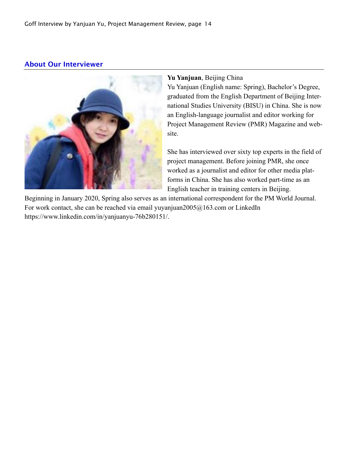# About Our Interviewer



#### **Yu Yanjuan**, Beijing China

Yu Yanjuan (English name: Spring), Bachelor's Degree, graduated from the English Department of Beijing International Studies University (BISU) in China. She is now an English-language journalist and editor working for Project Management Review (PMR) Magazine and website.

She has interviewed over sixty top experts in the field of project management. Before joining PMR, she once worked as a journalist and editor for other media platforms in China. She has also worked part-time as an English teacher in training centers in Beijing.

Beginning in January 2020, Spring also serves as an international correspondent for the PM World Journal. For work contact, she can be reached via email yuyanjuan2005@163.com or LinkedIn https://www.linkedin.com/in/yanjuanyu-76b280151/.